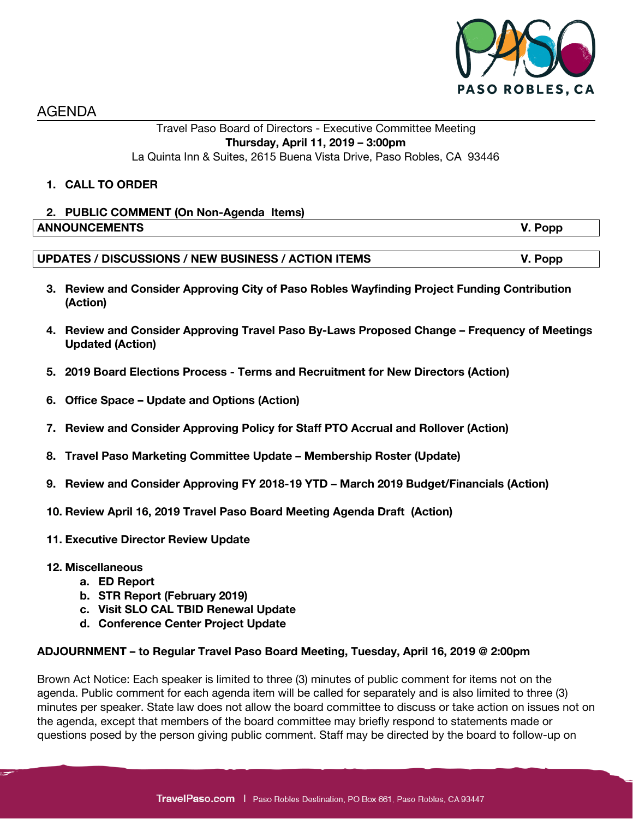

AGENDA

### Travel Paso Board of Directors - Executive Committee Meeting **Thursday, April 11, 2019 – 3:00pm** La Quinta Inn & Suites, 2615 Buena Vista Drive, Paso Robles, CA 93446

### **1. CALL TO ORDER**

# **2. PUBLIC COMMENT (On Non-Agenda Items) ANNOUNCEMENTS V. Popp**

## **UPDATES / DISCUSSIONS / NEW BUSINESS / ACTION ITEMS V. Popp**

- **3. Review and Consider Approving City of Paso Robles Wayfinding Project Funding Contribution (Action)**
- **4. Review and Consider Approving Travel Paso By-Laws Proposed Change – Frequency of Meetings Updated (Action)**
- **5. 2019 Board Elections Process - Terms and Recruitment for New Directors (Action)**
- **6. Office Space – Update and Options (Action)**
- **7. Review and Consider Approving Policy for Staff PTO Accrual and Rollover (Action)**
- **8. Travel Paso Marketing Committee Update – Membership Roster (Update)**
- **9. Review and Consider Approving FY 2018-19 YTD – March 2019 Budget/Financials (Action)**
- **10. Review April 16, 2019 Travel Paso Board Meeting Agenda Draft (Action)**
- **11. Executive Director Review Update**
- **12. Miscellaneous**
	- **a. ED Report**
	- **b. STR Report (February 2019)**
	- **c. Visit SLO CAL TBID Renewal Update**
	- **d. Conference Center Project Update**

#### **ADJOURNMENT – to Regular Travel Paso Board Meeting, Tuesday, April 16, 2019 @ 2:00pm**

Brown Act Notice: Each speaker is limited to three (3) minutes of public comment for items not on the agenda. Public comment for each agenda item will be called for separately and is also limited to three (3) minutes per speaker. State law does not allow the board committee to discuss or take action on issues not on the agenda, except that members of the board committee may briefly respond to statements made or questions posed by the person giving public comment. Staff may be directed by the board to follow-up on